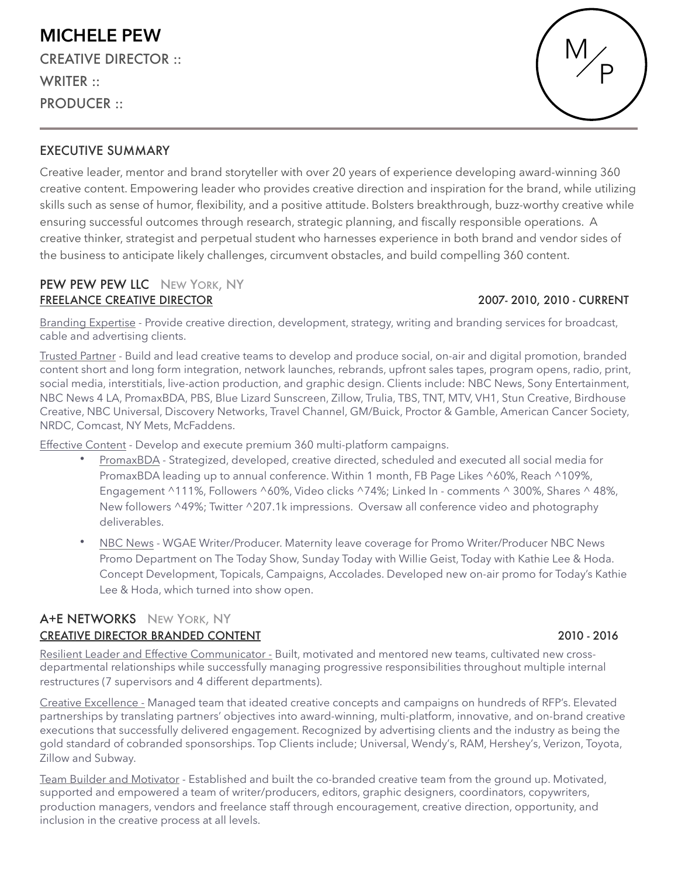## EXECUTIVE SUMMARY

Creative leader, mentor and brand storyteller with over 20 years of experience developing award-winning 360 creative content. Empowering leader who provides creative direction and inspiration for the brand, while utilizing skills such as sense of humor, flexibility, and a positive attitude. Bolsters breakthrough, buzz-worthy creative while ensuring successful outcomes through research, strategic planning, and fiscally responsible operations. A creative thinker, strategist and perpetual student who harnesses experience in both brand and vendor sides of the business to anticipate likely challenges, circumvent obstacles, and build compelling 360 content.

### PEW PEW PEW LLC NEW YORK, NY FREELANCE CREATIVE DIRECTOR **A CONSTRUCT OF A CONSTRUCT CONSTRUCT A** 2007- 2010, 2010 - CURRENT

Branding Expertise - Provide creative direction, development, strategy, writing and branding services for broadcast, cable and advertising clients.

Trusted Partner - Build and lead creative teams to develop and produce social, on-air and digital promotion, branded content short and long form integration, network launches, rebrands, upfront sales tapes, program opens, radio, print, social media, interstitials, live-action production, and graphic design. Clients include: NBC News, Sony Entertainment, NBC News 4 LA, PromaxBDA, PBS, Blue Lizard Sunscreen, Zillow, Trulia, TBS, TNT, MTV, VH1, Stun Creative, Birdhouse Creative, NBC Universal, Discovery Networks, Travel Channel, GM/Buick, Proctor & Gamble, American Cancer Society, NRDC, Comcast, NY Mets, McFaddens.

Effective Content - Develop and execute premium 360 multi-platform campaigns.

- PromaxBDA Strategized, developed, creative directed, scheduled and executed all social media for PromaxBDA leading up to annual conference. Within 1 month, FB Page Likes ^60%, Reach ^109%, Engagement ^111%, Followers ^60%, Video clicks ^74%; Linked In - comments ^ 300%, Shares ^ 48%, New followers ^49%; Twitter ^207.1k impressions. Oversaw all conference video and photography deliverables.
- NBC News WGAE Writer/Producer. Maternity leave coverage for Promo Writer/Producer NBC News Promo Department on The Today Show, Sunday Today with Willie Geist, Today with Kathie Lee & Hoda. Concept Development, Topicals, Campaigns, Accolades. Developed new on-air promo for Today's Kathie Lee & Hoda, which turned into show open.

### A+E NETWORKS NEW YORK, NY CREATIVE DIRECTOR BRANDED CONTENT **A CONTENT CONTENT CONTENT CONTENT CONTENT** 2010 - 2016

Resilient Leader and Effective Communicator - Built, motivated and mentored new teams, cultivated new crossdepartmental relationships while successfully managing progressive responsibilities throughout multiple internal restructures (7 supervisors and 4 different departments).

Creative Excellence - Managed team that ideated creative concepts and campaigns on hundreds of RFP's. Elevated partnerships by translating partners' objectives into award-winning, multi-platform, innovative, and on-brand creative executions that successfully delivered engagement. Recognized by advertising clients and the industry as being the gold standard of cobranded sponsorships. Top Clients include; Universal, Wendy's, RAM, Hershey's, Verizon, Toyota, Zillow and Subway.

Team Builder and Motivator - Established and built the co-branded creative team from the ground up. Motivated, supported and empowered a team of writer/producers, editors, graphic designers, coordinators, copywriters, production managers, vendors and freelance staff through encouragement, creative direction, opportunity, and inclusion in the creative process at all levels.